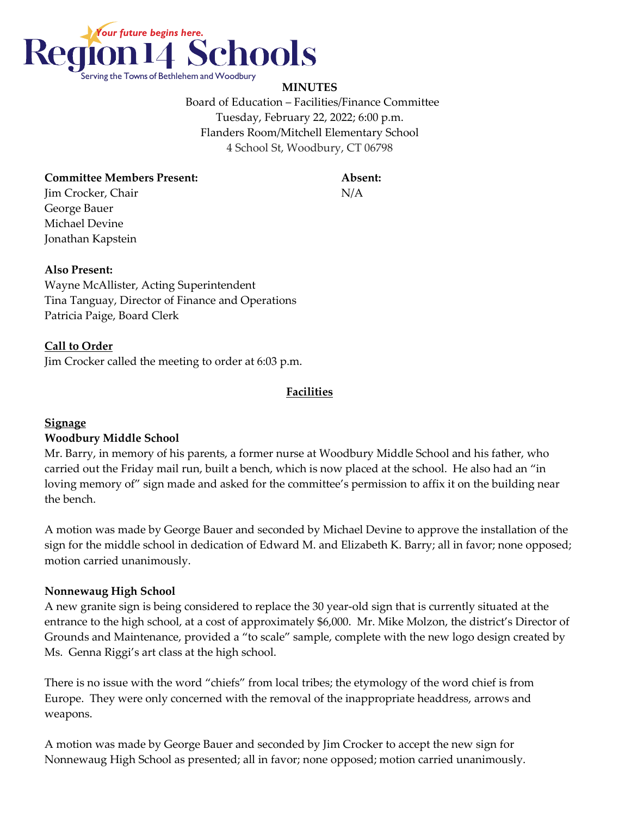

**MINUTES** Board of Education – Facilities/Finance Committee Tuesday, February 22, 2022; 6:00 p.m. Flanders Room/Mitchell Elementary School 4 School St, Woodbury, CT 06798

### **Committee Members Present: Absent:**

Jim Crocker, Chair N/A George Bauer Michael Devine Jonathan Kapstein

#### **Also Present:**

Wayne McAllister, Acting Superintendent Tina Tanguay, Director of Finance and Operations Patricia Paige, Board Clerk

## **Call to Order**

Jim Crocker called the meeting to order at 6:03 p.m.

#### **Facilities**

## **Signage**

#### **Woodbury Middle School**

Mr. Barry, in memory of his parents, a former nurse at Woodbury Middle School and his father, who carried out the Friday mail run, built a bench, which is now placed at the school. He also had an "in loving memory of" sign made and asked for the committee's permission to affix it on the building near the bench.

A motion was made by George Bauer and seconded by Michael Devine to approve the installation of the sign for the middle school in dedication of Edward M. and Elizabeth K. Barry; all in favor; none opposed; motion carried unanimously.

#### **Nonnewaug High School**

A new granite sign is being considered to replace the 30 year-old sign that is currently situated at the entrance to the high school, at a cost of approximately \$6,000. Mr. Mike Molzon, the district's Director of Grounds and Maintenance, provided a "to scale" sample, complete with the new logo design created by Ms. Genna Riggi's art class at the high school.

There is no issue with the word "chiefs" from local tribes; the etymology of the word chief is from Europe. They were only concerned with the removal of the inappropriate headdress, arrows and weapons.

A motion was made by George Bauer and seconded by Jim Crocker to accept the new sign for Nonnewaug High School as presented; all in favor; none opposed; motion carried unanimously.